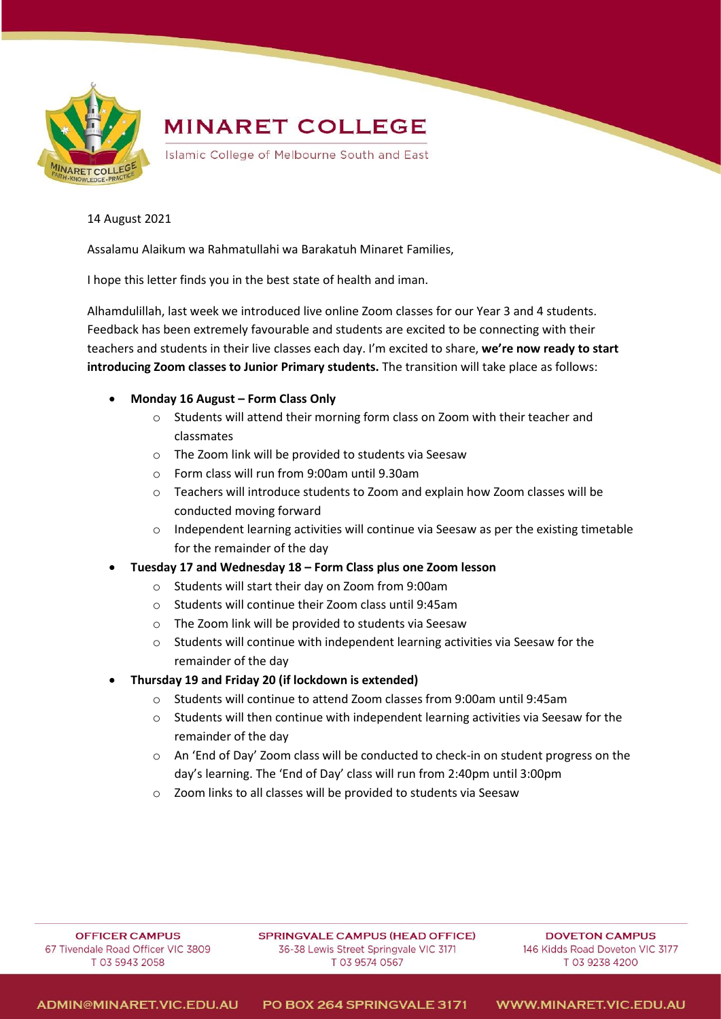

# **MINARET COLLEGE**

Islamic College of Melbourne South and East

14 August 2021

Assalamu Alaikum wa Rahmatullahi wa Barakatuh Minaret Families,

I hope this letter finds you in the best state of health and iman.

Alhamdulillah, last week we introduced live online Zoom classes for our Year 3 and 4 students. Feedback has been extremely favourable and students are excited to be connecting with their teachers and students in their live classes each day. I'm excited to share, **we're now ready to start introducing Zoom classes to Junior Primary students.** The transition will take place as follows:

## • **Monday 16 August – Form Class Only**

- o Students will attend their morning form class on Zoom with their teacher and classmates
- o The Zoom link will be provided to students via Seesaw
- o Form class will run from 9:00am until 9.30am
- o Teachers will introduce students to Zoom and explain how Zoom classes will be conducted moving forward
- o Independent learning activities will continue via Seesaw as per the existing timetable for the remainder of the day
- **Tuesday 17 and Wednesday 18 – Form Class plus one Zoom lesson**
	- o Students will start their day on Zoom from 9:00am
	- o Students will continue their Zoom class until 9:45am
	- o The Zoom link will be provided to students via Seesaw
	- $\circ$  Students will continue with independent learning activities via Seesaw for the remainder of the day
- **Thursday 19 and Friday 20 (if lockdown is extended)**
	- o Students will continue to attend Zoom classes from 9:00am until 9:45am
	- $\circ$  Students will then continue with independent learning activities via Seesaw for the remainder of the day
	- o An 'End of Day' Zoom class will be conducted to check-in on student progress on the day's learning. The 'End of Day' class will run from 2:40pm until 3:00pm
	- o Zoom links to all classes will be provided to students via Seesaw

OFFICER CAMPUS 67 Tivendale Road Officer VIC 3809 T 03 5943 2058

SPRINGVALE CAMPUS (HEAD OFFICE) 36-38 Lewis Street Springvale VIC 3171 T 03 9574 0567

**DOVETON CAMPLIS** 146 Kidds Road Doveton VIC 3177 T 03 9238 4200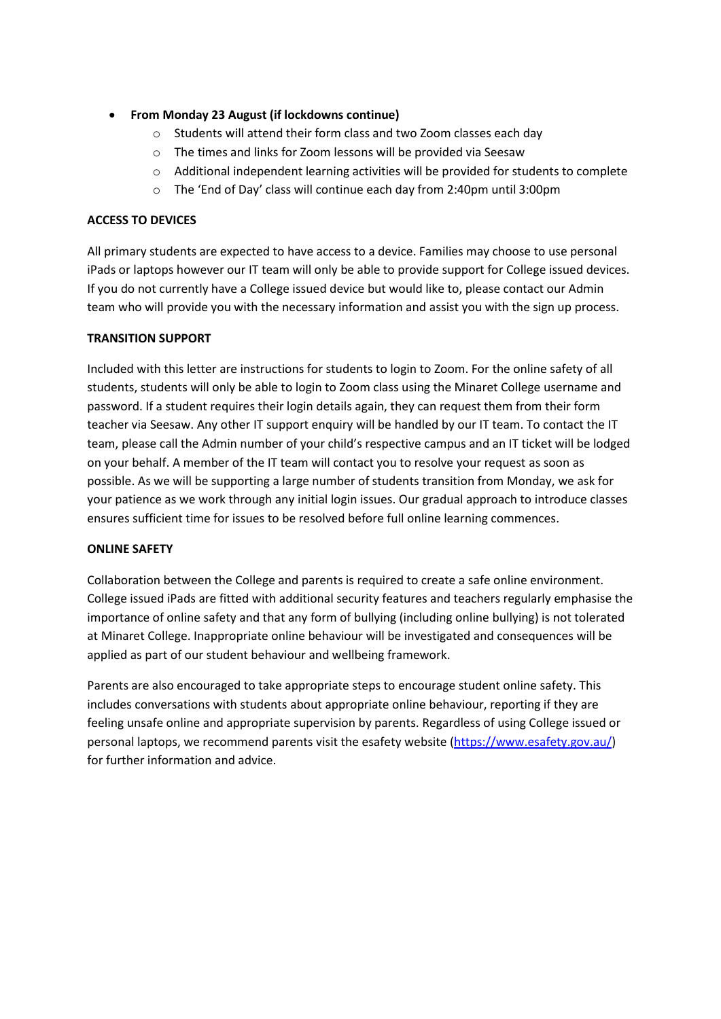- **From Monday 23 August (if lockdowns continue)**
	- o Students will attend their form class and two Zoom classes each day
	- o The times and links for Zoom lessons will be provided via Seesaw
	- o Additional independent learning activities will be provided for students to complete
	- o The 'End of Day' class will continue each day from 2:40pm until 3:00pm

## **ACCESS TO DEVICES**

All primary students are expected to have access to a device. Families may choose to use personal iPads or laptops however our IT team will only be able to provide support for College issued devices. If you do not currently have a College issued device but would like to, please contact our Admin team who will provide you with the necessary information and assist you with the sign up process.

#### **TRANSITION SUPPORT**

Included with this letter are instructions for students to login to Zoom. For the online safety of all students, students will only be able to login to Zoom class using the Minaret College username and password. If a student requires their login details again, they can request them from their form teacher via Seesaw. Any other IT support enquiry will be handled by our IT team. To contact the IT team, please call the Admin number of your child's respective campus and an IT ticket will be lodged on your behalf. A member of the IT team will contact you to resolve your request as soon as possible. As we will be supporting a large number of students transition from Monday, we ask for your patience as we work through any initial login issues. Our gradual approach to introduce classes ensures sufficient time for issues to be resolved before full online learning commences.

#### **ONLINE SAFETY**

Collaboration between the College and parents is required to create a safe online environment. College issued iPads are fitted with additional security features and teachers regularly emphasise the importance of online safety and that any form of bullying (including online bullying) is not tolerated at Minaret College. Inappropriate online behaviour will be investigated and consequences will be applied as part of our student behaviour and wellbeing framework.

Parents are also encouraged to take appropriate steps to encourage student online safety. This includes conversations with students about appropriate online behaviour, reporting if they are feeling unsafe online and appropriate supervision by parents. Regardless of using College issued or personal laptops, we recommend parents visit the esafety website [\(https://www.esafety.gov.au/\)](https://www.esafety.gov.au/) for further information and advice.